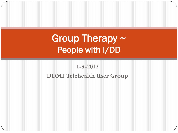#### Group Therapy ~ People with I/DD

#### **1-9-2012 DDMI Telehealth User Group**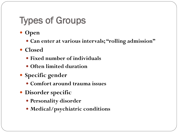# Types of Groups

- **Open**
	- **Can enter at various intervals; "rolling admission"**
- **Closed**
	- **Fixed number of individuals**
	- **Often limited duration**
- **Specific gender**
	- **Comfort around trauma issues**
- **Disorder specific**
	- **Personality disorder**
	- **Medical/psychiatric conditions**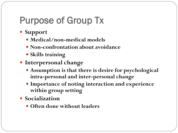# Purpose of Group Tx

- **Support**
	- **Medical/non-medical models**
	- **Non-confrontation about avoidance**
	- **Skills training**
- **Interpersonal change**
	- **Assumption is that there is desire for psychological intra-personal and inter-personal change**
	- **Importance of noting interaction and experience within group setting**
- **Socialization** 
	- **Often done without leaders**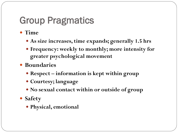# Group Pragmatics

- **Time**
	- **As size increases, time expands; generally 1.5 hrs**
	- **Frequency: weekly to monthly; more intensity for greater psychological movement**
- **Boundaries**
	- **Respect – information is kept within group**
	- **Courtesy; language**
	- **No sexual contact within or outside of group**
- **Safety**
	- **Physical, emotional**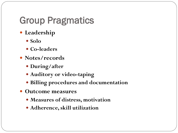#### Group Pragmatics

- **Leadership**
	- **Solo**
	- **Co-leaders**
- Notes/records
	- **During/after**
	- **Auditory or video-taping**
	- **Billing procedures and documentation**
- **Outcome measures**
	- **Measures of distress, motivation**
	- **Adherence, skill utilization**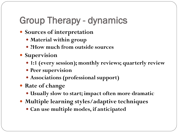# Group Therapy - dynamics

- **Sources of interpretation** 
	- **Material within group**
	- **?How much from outside sources**
- **Supervision** 
	- **1:1 (every session); monthly reviews; quarterly review**
	- **Peer supervision**
	- **Associations (professional support)**
- **Rate of change** 
	- **Usually slow to start; impact often more dramatic**
- **Multiple learning styles/adaptive techniques**
	- **Can use multiple modes, if anticipated**